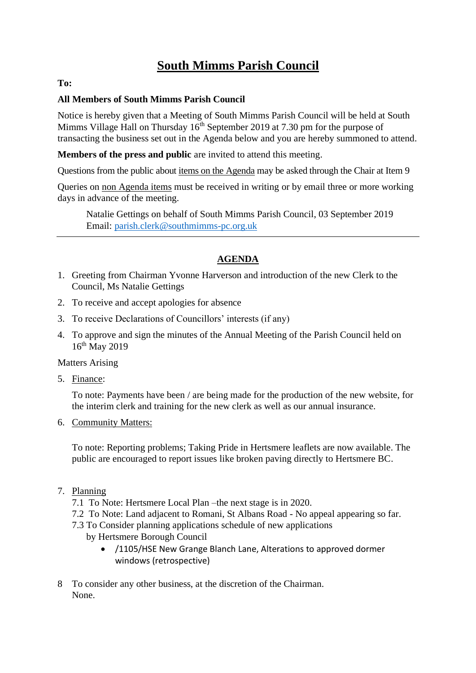# **South Mimms Parish Council**

### **To:**

#### **All Members of South Mimms Parish Council**

Notice is hereby given that a Meeting of South Mimms Parish Council will be held at South Mimms Village Hall on Thursday  $16<sup>th</sup>$  September 2019 at 7.30 pm for the purpose of transacting the business set out in the Agenda below and you are hereby summoned to attend.

**Members of the press and public** are invited to attend this meeting.

Questions from the public about items on the Agenda may be asked through the Chair at Item 9

Queries on non Agenda items must be received in writing or by email three or more working days in advance of the meeting.

Natalie Gettings on behalf of South Mimms Parish Council, 03 September 2019 Email: [parish.clerk@southmimms-pc.org.uk](mailto:parish.clerk@southmimms-pc.org.uk)

## **AGENDA**

- 1. Greeting from Chairman Yvonne Harverson and introduction of the new Clerk to the Council, Ms Natalie Gettings
- 2. To receive and accept apologies for absence
- 3. To receive Declarations of Councillors' interests (if any)
- 4. To approve and sign the minutes of the Annual Meeting of the Parish Council held on 16th May 2019

#### Matters Arising

5. Finance:

To note: Payments have been / are being made for the production of the new website, for the interim clerk and training for the new clerk as well as our annual insurance.

6. Community Matters:

To note: Reporting problems; Taking Pride in Hertsmere leaflets are now available. The public are encouraged to report issues like broken paving directly to Hertsmere BC.

- 7. Planning
	- 7.1 To Note: Hertsmere Local Plan –the next stage is in 2020.
	- 7.2 To Note: Land adjacent to Romani, St Albans Road No appeal appearing so far.
	- 7.3 To Consider planning applications schedule of new applications

by Hertsmere Borough Council

- /1105/HSE New Grange Blanch Lane, Alterations to approved dormer windows (retrospective)
- 8 To consider any other business, at the discretion of the Chairman. None.